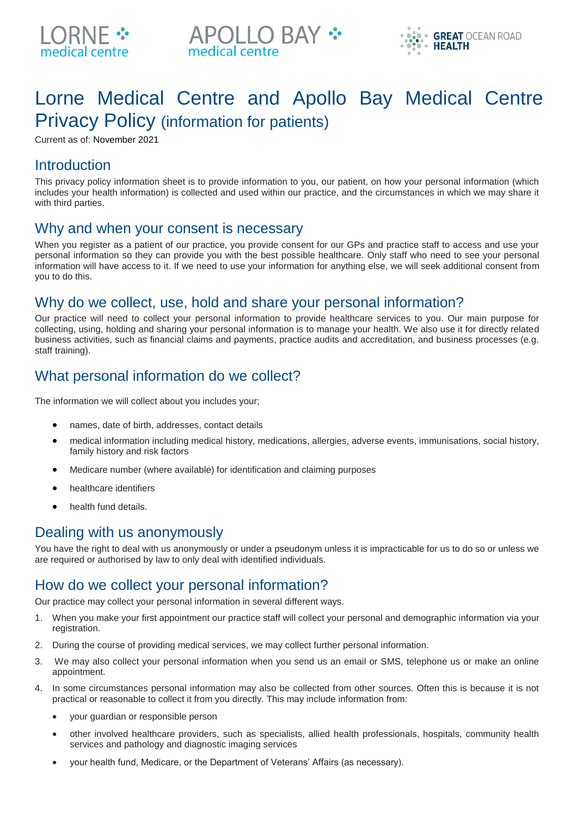





# Lorne Medical Centre and Apollo Bay Medical Centre Privacy Policy (information for patients)

Current as of: November 2021

#### **Introduction**

This privacy policy information sheet is to provide information to you, our patient, on how your personal information (which includes your health information) is collected and used within our practice, and the circumstances in which we may share it with third parties.

#### Why and when your consent is necessary

When you register as a patient of our practice, you provide consent for our GPs and practice staff to access and use your personal information so they can provide you with the best possible healthcare. Only staff who need to see your personal information will have access to it. If we need to use your information for anything else, we will seek additional consent from you to do this.

# Why do we collect, use, hold and share your personal information?

Our practice will need to collect your personal information to provide healthcare services to you. Our main purpose for collecting, using, holding and sharing your personal information is to manage your health. We also use it for directly related business activities, such as financial claims and payments, practice audits and accreditation, and business processes (e.g. staff training).

# What personal information do we collect?

The information we will collect about you includes your;

- names, date of birth, addresses, contact details
- medical information including medical history, medications, allergies, adverse events, immunisations, social history, family history and risk factors
- Medicare number (where available) for identification and claiming purposes
- healthcare identifiers
- health fund details.

#### Dealing with us anonymously

You have the right to deal with us anonymously or under a pseudonym unless it is impracticable for us to do so or unless we are required or authorised by law to only deal with identified individuals.

# How do we collect your personal information?

Our practice may collect your personal information in several different ways.

- 1. When you make your first appointment our practice staff will collect your personal and demographic information via your registration.
- 2. During the course of providing medical services, we may collect further personal information.
- 3. We may also collect your personal information when you send us an email or SMS, telephone us or make an online appointment.
- 4. In some circumstances personal information may also be collected from other sources. Often this is because it is not practical or reasonable to collect it from you directly. This may include information from:
	- your guardian or responsible person
	- other involved healthcare providers, such as specialists, allied health professionals, hospitals, community health services and pathology and diagnostic imaging services
	- your health fund, Medicare, or the Department of Veterans' Affairs (as necessary).